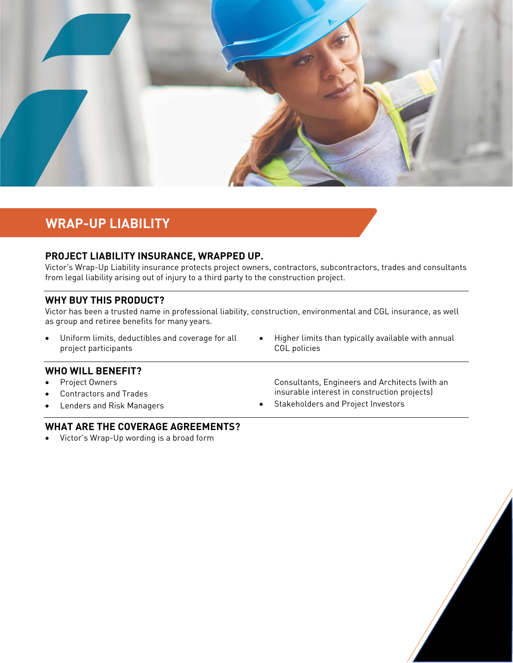

# **WRAP-UP LIABILITY**

## **PROJECT LIABILITY INSURANCE, WRAPPED UP.**

Victor's Wrap-Up Liability insurance protects project owners, contractors, subcontractors, trades and consultants from legal liability arising out of injury to a third party to the construction project.

### **WHY BUY THIS PRODUCT?**

Victor has been a trusted name in professional liability, construction, environmental and CGL insurance, as well as group and retiree benefits for many years.

- Uniform limits, deductibles and coverage for all project participants
- Higher limits than typically available with annual CGL policies

#### **WHO WILL BENEFIT?**

- Project Owners
- Contractors and Trades
- Lenders and Risk Managers

Consultants, Engineers and Architects (with an insurable interest in construction projects)

Stakeholders and Project Investors

### **WHAT ARE THE COVERAGE AGREEMENTS?**

Victor's Wrap-Up wording is a broad form